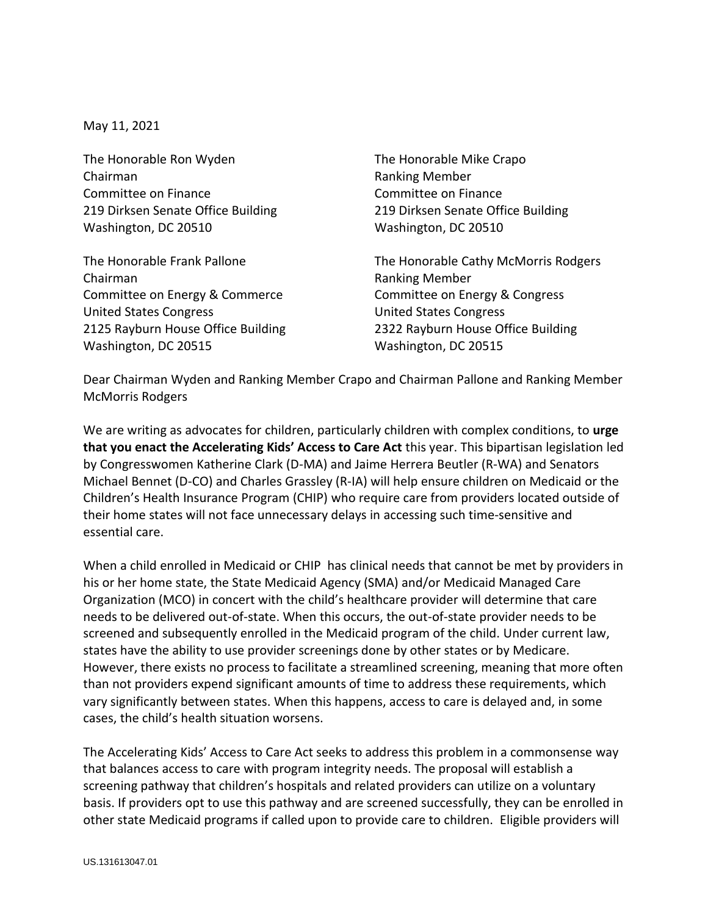May 11, 2021

The Honorable Ron Wyden The Honorable Mike Crapo Chairman **Ranking Member** Committee on Finance Committee on Finance 219 Dirksen Senate Office Building 219 Dirksen Senate Office Building Washington, DC 20510 Washington, DC 20510

Chairman **Ranking Member** Ranking Member Committee on Energy & Commerce Committee on Energy & Congress United States Congress United States Congress 2125 Rayburn House Office Building 2322 Rayburn House Office Building Washington, DC 20515 Washington, DC 20515

The Honorable Frank Pallone The Honorable Cathy McMorris Rodgers

Dear Chairman Wyden and Ranking Member Crapo and Chairman Pallone and Ranking Member McMorris Rodgers

We are writing as advocates for children, particularly children with complex conditions, to **urge that you enact the Accelerating Kids' Access to Care Act** this year. This bipartisan legislation led by Congresswomen Katherine Clark (D-MA) and Jaime Herrera Beutler (R-WA) and Senators Michael Bennet (D-CO) and Charles Grassley (R-IA) will help ensure children on Medicaid or the Children's Health Insurance Program (CHIP) who require care from providers located outside of their home states will not face unnecessary delays in accessing such time-sensitive and essential care.

When a child enrolled in Medicaid or CHIP has clinical needs that cannot be met by providers in his or her home state, the State Medicaid Agency (SMA) and/or Medicaid Managed Care Organization (MCO) in concert with the child's healthcare provider will determine that care needs to be delivered out-of-state. When this occurs, the out-of-state provider needs to be screened and subsequently enrolled in the Medicaid program of the child. Under current law, states have the ability to use provider screenings done by other states or by Medicare. However, there exists no process to facilitate a streamlined screening, meaning that more often than not providers expend significant amounts of time to address these requirements, which vary significantly between states. When this happens, access to care is delayed and, in some cases, the child's health situation worsens.

The Accelerating Kids' Access to Care Act seeks to address this problem in a commonsense way that balances access to care with program integrity needs. The proposal will establish a screening pathway that children's hospitals and related providers can utilize on a voluntary basis. If providers opt to use this pathway and are screened successfully, they can be enrolled in other state Medicaid programs if called upon to provide care to children. Eligible providers will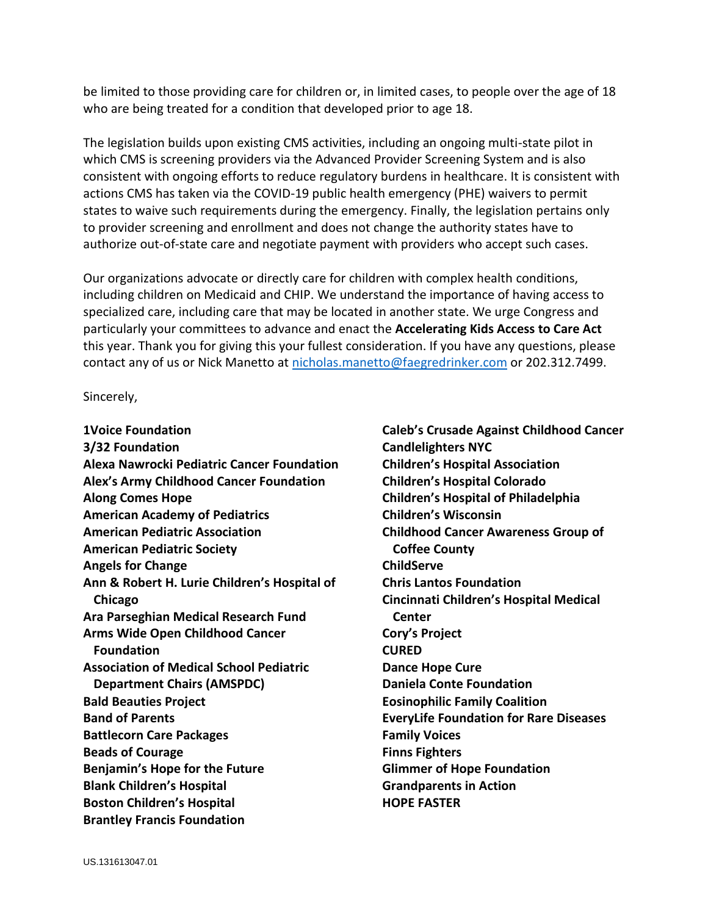be limited to those providing care for children or, in limited cases, to people over the age of 18 who are being treated for a condition that developed prior to age 18.

The legislation builds upon existing CMS activities, including an ongoing multi-state pilot in which CMS is screening providers via the Advanced Provider Screening System and is also consistent with ongoing efforts to reduce regulatory burdens in healthcare. It is consistent with actions CMS has taken via the COVID-19 public health emergency (PHE) waivers to permit states to waive such requirements during the emergency. Finally, the legislation pertains only to provider screening and enrollment and does not change the authority states have to authorize out-of-state care and negotiate payment with providers who accept such cases.

Our organizations advocate or directly care for children with complex health conditions, including children on Medicaid and CHIP. We understand the importance of having access to specialized care, including care that may be located in another state. We urge Congress and particularly your committees to advance and enact the **Accelerating Kids Access to Care Act** this year. Thank you for giving this your fullest consideration. If you have any questions, please contact any of us or Nick Manetto at [nicholas.manetto@faegredrinker.com](mailto:nicholas.manetto@faegredrinker.com) or 202.312.7499.

Sincerely,

**1Voice Foundation 3/32 Foundation Alexa Nawrocki Pediatric Cancer Foundation Alex's Army Childhood Cancer Foundation Along Comes Hope American Academy of Pediatrics American Pediatric Association American Pediatric Society Angels for Change Ann & Robert H. Lurie Children's Hospital of Chicago Ara Parseghian Medical Research Fund Arms Wide Open Childhood Cancer Foundation Association of Medical School Pediatric Department Chairs (AMSPDC) Bald Beauties Project Band of Parents Battlecorn Care Packages Beads of Courage Benjamin's Hope for the Future Blank Children's Hospital Boston Children's Hospital Brantley Francis Foundation**

**Caleb's Crusade Against Childhood Cancer Candlelighters NYC Children's Hospital Association Children's Hospital Colorado Children's Hospital of Philadelphia Children's Wisconsin Childhood Cancer Awareness Group of Coffee County ChildServe Chris Lantos Foundation Cincinnati Children's Hospital Medical Center Cory's Project CURED Dance Hope Cure Daniela Conte Foundation Eosinophilic Family Coalition EveryLife Foundation for Rare Diseases Family Voices Finns Fighters Glimmer of Hope Foundation Grandparents in Action HOPE FASTER**